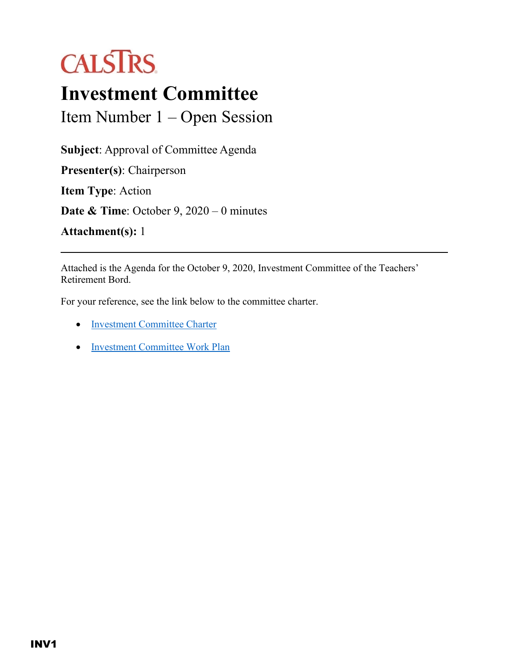## **CALSTRS**

## **Investment Committee**

Item Number 1 – Open Session

**Subject**: Approval of Committee Agenda **Presenter(s)**: Chairperson **Item Type**: Action **Date & Time**: October 9, 2020 – 0 minutes

**Attachment(s):** 1

Attached is the Agenda for the October 9, 2020, Investment Committee of the Teachers' Retirement Bord.

For your reference, see the link below to the committee charter.

- [Investment Committee Charter](https://trb.calstrs.com/CalSTRSBoardWebSiteWebUI/Page/CommonPage.aspx?PageName=DocumentDownload&Id=88fbfe9b-c385-4ac3-a92f-759b6772d365)
- [Investment Committee Work Plan](https://trb.calstrs.com/CalSTRSBoardWebSiteWebUI/Page/CommonPage.aspx?PageName=DocumentDownload&Id=b5ec2c83-a13d-4329-85e5-f262e7319867)